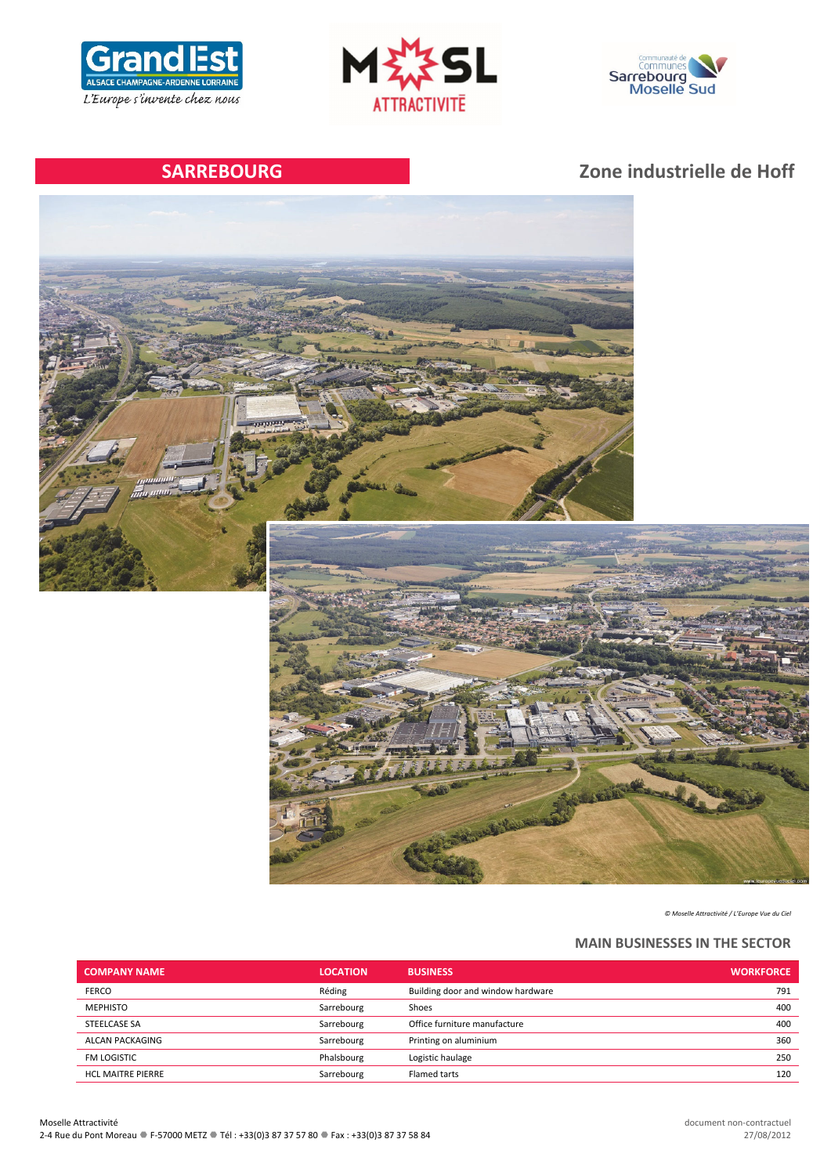





# **SARREBOURG Zone industrielle de Hoff**



*© Moselle Attractivité / L'Europe Vue du Ciel*

## **MAIN BUSINESSES IN THE SECTOR**

| <b>COMPANY NAME</b>      | <b>LOCATION</b> | <b>BUSINESS</b>                   | <b>WORKFORCE</b> |
|--------------------------|-----------------|-----------------------------------|------------------|
| <b>FERCO</b>             | Réding          | Building door and window hardware | 791              |
| <b>MEPHISTO</b>          | Sarrebourg      | Shoes                             | 400              |
| STEELCASE SA             | Sarrebourg      | Office furniture manufacture      | 400              |
| ALCAN PACKAGING          | Sarrebourg      | Printing on aluminium             | 360              |
| <b>FM LOGISTIC</b>       | Phalsbourg      | Logistic haulage                  | 250              |
| <b>HCL MAITRE PIERRE</b> | Sarrebourg      | Flamed tarts                      | 120              |